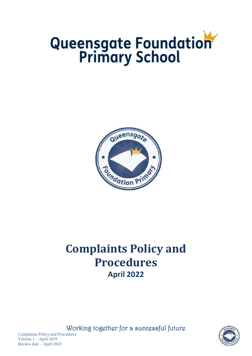# Queensgate Foundation



## **Complaints Policy and Procedures April 2022**

Working together for a successful future



Complaints Policy and Procedures Version 1 – April 2019 Review date – April 2025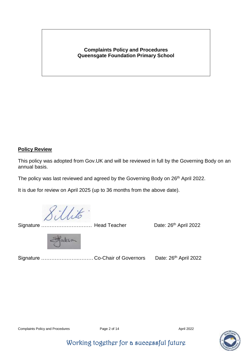#### **Complaints Policy and Procedures Queensgate Foundation Primary School**

#### **Policy Review**

This policy was adopted from Gov.UK and will be reviewed in full by the Governing Body on an annual basis.

The policy was last reviewed and agreed by the Governing Body on 26<sup>th</sup> April 2022.

It is due for review on April 2025 (up to 36 months from the above date).

Signature ……………………………… Head Teacher Date: 26<sup>th</sup> April 2022

aclesa

Signature ………………….……… Co-Chair of Governors Date: 26th April 2022



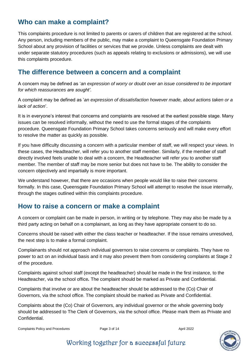#### **Who can make a complaint?**

This complaints procedure is not limited to parents or carers of children that are registered at the school. Any person, including members of the public, may make a complaint to Queensgate Foundation Primary School about any provision of facilities or services that we provide. Unless complaints are dealt with under separate statutory procedures (such as appeals relating to exclusions or admissions), we will use this complaints procedure.

#### **The difference between a concern and a complaint**

A concern may be defined as '*an expression of worry or doubt over an issue considered to be important for which reassurances are sought'*.

A complaint may be defined as '*an expression of dissatisfaction however made, about actions taken or a lack of action*'.

It is in everyone's interest that concerns and complaints are resolved at the earliest possible stage. Many issues can be resolved informally, without the need to use the formal stages of the complaints procedure. Queensgate Foundation Primary School takes concerns seriously and will make every effort to resolve the matter as quickly as possible.

If you have difficulty discussing a concern with a particular member of staff, we will respect your views. In these cases, the Headteacher, will refer you to another staff member. Similarly, if the member of staff directly involved feels unable to deal with a concern, the Headteacher will refer you to another staff member. The member of staff may be more senior but does not have to be. The ability to consider the concern objectively and impartially is more important.

We understand however, that there are occasions when people would like to raise their concerns formally. In this case, Queensgate Foundation Primary School will attempt to resolve the issue internally, through the stages outlined within this complaints procedure.

#### **How to raise a concern or make a complaint**

A concern or complaint can be made in person, in writing or by telephone. They may also be made by a third party acting on behalf on a complainant, as long as they have appropriate consent to do so.

Concerns should be raised with either the class teacher or headteacher. If the issue remains unresolved, the next step is to make a formal complaint.

Complainants should not approach individual governors to raise concerns or complaints. They have no power to act on an individual basis and it may also prevent them from considering complaints at Stage 2 of the procedure.

Complaints against school staff (except the headteacher) should be made in the first instance, to the Headteacher, via the school office*.* The complaint should be marked as Private and Confidential.

Complaints that involve or are about the headteacher should be addressed to the (Co) Chair of Governors, via the school office. The complaint should be marked as Private and Confidential.

Complaints about the (Co) Chair of Governors, any individual governor or the whole governing body should be addressed to The Clerk of Governors, via the school office. Please mark them as Private and Confidential.

Complaints Policy and Procedures **Page 3 of 14** April 2022

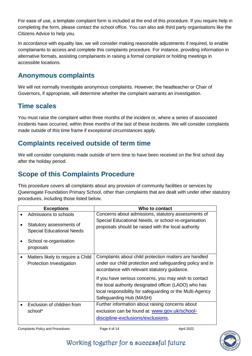For ease of use, a template complaint form is included at the end of this procedure. If you require help in completing the form, please contact the school office. You can also ask third party organisations like the Citizens Advice to help you.

In accordance with equality law, we will consider making reasonable adjustments if required, to enable complainants to access and complete this complaints procedure. For instance, providing information in alternative formats, assisting complainants in raising a formal complaint or holding meetings in accessible locations.

#### **Anonymous complaints**

We will not normally investigate anonymous complaints. However, the headteacher or Chair of Governors, if appropriate, will determine whether the complaint warrants an investigation.

#### **Time scales**

You must raise the complaint within three months of the incident or, where a series of associated incidents have occurred, within three months of the last of these incidents. We will consider complaints made outside of this time frame if exceptional circumstances apply.

#### **Complaints received outside of term time**

We will consider complaints made outside of term time to have been received on the first school day after the holiday period.

#### **Scope of this Complaints Procedure**

This procedure covers all complaints about any provision of community facilities or services by Queensgate Foundation Primary School, other than complaints that are dealt with under other statutory procedures, including those listed below.

|           | <b>Exceptions</b>                                                                                                            | Who to contact                                                                                                                                                                                                                                                                                                                                                               |
|-----------|------------------------------------------------------------------------------------------------------------------------------|------------------------------------------------------------------------------------------------------------------------------------------------------------------------------------------------------------------------------------------------------------------------------------------------------------------------------------------------------------------------------|
|           | Admissions to schools<br>Statutory assessments of<br><b>Special Educational Needs</b><br>School re-organisation<br>proposals | Concerns about admissions, statutory assessments of<br>Special Educational Needs, or school re-organisation<br>proposals should be raised with the local authority                                                                                                                                                                                                           |
| $\bullet$ | Matters likely to require a Child<br>Protection Investigation                                                                | Complaints about child protection matters are handled<br>under our child protection and safeguarding policy and in<br>accordance with relevant statutory guidance.<br>If you have serious concerns, you may wish to contact<br>the local authority designated officer (LADO) who has<br>local responsibility for safeguarding or the Multi-Agency<br>Safeguarding Hub (MASH) |
|           | Exclusion of children from<br>school*                                                                                        | Further information about raising concerns about<br>exclusion can be found at: www.gov.uk/school-<br>discipline-exclusions/exclusions.                                                                                                                                                                                                                                       |

Complaints Policy and Procedures **Page 4 of 14** April 2022

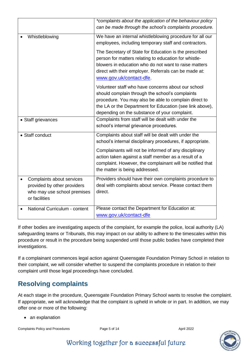|                                                                                                          | *complaints about the application of the behaviour policy<br>can be made through the school's complaints procedure.                                                                                                                                                         |
|----------------------------------------------------------------------------------------------------------|-----------------------------------------------------------------------------------------------------------------------------------------------------------------------------------------------------------------------------------------------------------------------------|
| Whistleblowing                                                                                           | We have an internal whistleblowing procedure for all our<br>employees, including temporary staff and contractors.                                                                                                                                                           |
|                                                                                                          | The Secretary of State for Education is the prescribed<br>person for matters relating to education for whistle-<br>blowers in education who do not want to raise matters<br>direct with their employer. Referrals can be made at:<br>www.gov.uk/contact-dfe.                |
|                                                                                                          | Volunteer staff who have concerns about our school<br>should complain through the school's complaints<br>procedure. You may also be able to complain direct to<br>the LA or the Department for Education (see link above),<br>depending on the substance of your complaint. |
| • Staff grievances                                                                                       | Complaints from staff will be dealt with under the<br>school's internal grievance procedures.                                                                                                                                                                               |
| • Staff conduct                                                                                          | Complaints about staff will be dealt with under the<br>school's internal disciplinary procedures, if appropriate.                                                                                                                                                           |
|                                                                                                          | Complainants will not be informed of any disciplinary<br>action taken against a staff member as a result of a<br>complaint. However, the complainant will be notified that<br>the matter is being addressed.                                                                |
| Complaints about services<br>provided by other providers<br>who may use school premises<br>or facilities | Providers should have their own complaints procedure to<br>deal with complaints about service. Please contact them<br>direct.                                                                                                                                               |
| National Curriculum - content                                                                            | Please contact the Department for Education at:<br>www.gov.uk/contact-dfe                                                                                                                                                                                                   |

If other bodies are investigating aspects of the complaint, for example the police, local authority (LA) safeguarding teams or Tribunals, this may impact on our ability to adhere to the timescales within this procedure or result in the procedure being suspended until those public bodies have completed their investigations.

If a complainant commences legal action against Queensgate Foundation Primary School in relation to their complaint, we will consider whether to suspend the complaints procedure in relation to their complaint until those legal proceedings have concluded.

### **Resolving complaints**

At each stage in the procedure, Queensgate Foundation Primary School wants to resolve the complaint. If appropriate, we will acknowledge that the complaint is upheld in whole or in part. In addition, we may offer one or more of the following:

• an explanation

Complaints Policy and Procedures **Page 5 of 14** April 2022

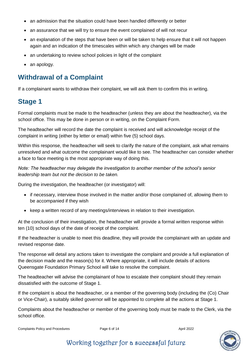- an admission that the situation could have been handled differently or better
- an assurance that we will try to ensure the event complained of will not recur
- an explanation of the steps that have been or will be taken to help ensure that it will not happen again and an indication of the timescales within which any changes will be made
- an undertaking to review school policies in light of the complaint
- an apology.

#### **Withdrawal of a Complaint**

If a complainant wants to withdraw their complaint, we will ask them to confirm this in writing.

#### **Stage 1**

Formal complaints must be made to the headteacher (unless they are about the headteacher), via the school office. This may be done in person or in writing, on the Complaint Form.

The headteacher will record the date the complaint is received and will acknowledge receipt of the complaint in writing (either by letter or email) within five (5) school days.

Within this response, the headteacher will seek to clarify the nature of the complaint, ask what remains unresolved and what outcome the complainant would like to see. The headteacher can consider whether a face to face meeting is the most appropriate way of doing this.

*Note: The headteacher may delegate the investigation to another member of the school's senior leadership team but not the decision to be taken.*

During the investigation, the headteacher (or investigator) will:

- if necessary, interview those involved in the matter and/or those complained of, allowing them to be accompanied if they wish
- keep a written record of any meetings/interviews in relation to their investigation.

At the conclusion of their investigation, the headteacher will provide a formal written response within ten (10) school days of the date of receipt of the complaint.

If the headteacher is unable to meet this deadline, they will provide the complainant with an update and revised response date.

The response will detail any actions taken to investigate the complaint and provide a full explanation of the decision made and the reason(s) for it. Where appropriate, it will include details of actions Queensgate Foundation Primary School will take to resolve the complaint.

The headteacher will advise the complainant of how to escalate their complaint should they remain dissatisfied with the outcome of Stage 1.

If the complaint is about the headteacher, or a member of the governing body (including the (Co) Chair or Vice-Chair), a suitably skilled governor will be appointed to complete all the actions at Stage 1.

Complaints about the headteacher or member of the governing body must be made to the Clerk, via the school office.

Complaints Policy and Procedures **Page 6 of 14** April 2022

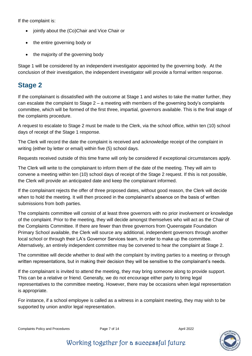If the complaint is:

- jointly about the (Co)Chair and Vice Chair or
- the entire governing body or
- the majority of the governing body

Stage 1 will be considered by an independent investigator appointed by the governing body. At the conclusion of their investigation, the independent investigator will provide a formal written response.

#### **Stage 2**

If the complainant is dissatisfied with the outcome at Stage 1 and wishes to take the matter further, they can escalate the complaint to Stage  $2 - a$  meeting with members of the governing body's complaints committee, which will be formed of the first three, impartial, governors available. This is the final stage of the complaints procedure.

A request to escalate to Stage 2 must be made to the Clerk, via the school office, within ten (10) school days of receipt of the Stage 1 response.

The Clerk will record the date the complaint is received and acknowledge receipt of the complaint in writing (either by letter or email) within five (5) school days.

Requests received outside of this time frame will only be considered if exceptional circumstances apply.

The Clerk will write to the complainant to inform them of the date of the meeting. They will aim to convene a meeting within ten (10) school days of receipt of the Stage 2 request. If this is not possible, the Clerk will provide an anticipated date and keep the complainant informed.

If the complainant rejects the offer of three proposed dates, without good reason, the Clerk will decide when to hold the meeting. It will then proceed in the complainant's absence on the basis of written submissions from both parties.

The complaints committee will consist of at least three governors with no prior involvement or knowledge of the complaint. Prior to the meeting, they will decide amongst themselves who will act as the Chair of the Complaints Committee. If there are fewer than three governors from Queensgate Foundation Primary School available, the Clerk will source any additional, independent governors through another local school or through their LA's Governor Services team, in order to make up the committee. Alternatively, an entirely independent committee may be convened to hear the complaint at Stage 2.

The committee will decide whether to deal with the complaint by inviting parties to a meeting or through written representations, but in making their decision they will be sensitive to the complainant's needs.

If the complainant is invited to attend the meeting, they may bring someone along to provide support. This can be a relative or friend. Generally, we do not encourage either party to bring legal representatives to the committee meeting. However, there may be occasions when legal representation is appropriate.

For instance, if a school employee is called as a witness in a complaint meeting, they may wish to be supported by union and/or legal representation.

Complaints Policy and Procedures **Page 7 of 14** April 2022

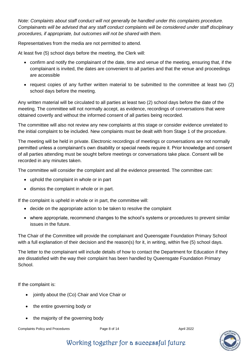*Note: Complaints about staff conduct will not generally be handled under this complaints procedure. Complainants will be advised that any staff conduct complaints will be considered under staff disciplinary procedures, if appropriate, but outcomes will not be shared with them.* 

Representatives from the media are not permitted to attend.

At least five (5) school days before the meeting, the Clerk will:

- confirm and notify the complainant of the date, time and venue of the meeting, ensuring that, if the complainant is invited, the dates are convenient to all parties and that the venue and proceedings are accessible
- request copies of any further written material to be submitted to the committee at least two (2) school days before the meeting.

Any written material will be circulated to all parties at least two (2) school days before the date of the meeting. The committee will not normally accept, as evidence, recordings of conversations that were obtained covertly and without the informed consent of all parties being recorded.

The committee will also not review any new complaints at this stage or consider evidence unrelated to the initial complaint to be included. New complaints must be dealt with from Stage 1 of the procedure.

The meeting will be held in private. Electronic recordings of meetings or conversations are not normally permitted unless a complainant's own disability or special needs require it. Prior knowledge and consent of all parties attending must be sought before meetings or conversations take place. Consent will be recorded in any minutes taken.

The committee will consider the complaint and all the evidence presented. The committee can:

- uphold the complaint in whole or in part
- dismiss the complaint in whole or in part.

If the complaint is upheld in whole or in part, the committee will:

- decide on the appropriate action to be taken to resolve the complaint
- where appropriate, recommend changes to the school's systems or procedures to prevent similar issues in the future.

The Chair of the Committee will provide the complainant and Queensgate Foundation Primary School with a full explanation of their decision and the reason(s) for it, in writing, within five (5) school days.

The letter to the complainant will include details of how to contact the Department for Education if they are dissatisfied with the way their complaint has been handled by Queensgate Foundation Primary School.

If the complaint is:

- jointly about the (Co) Chair and Vice Chair or
- the entire governing body or
- the majority of the governing body

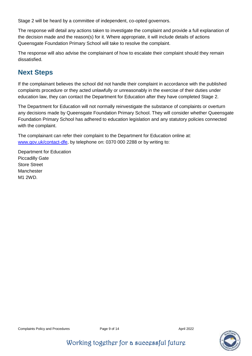Stage 2 will be heard by a committee of independent, co-opted governors.

The response will detail any actions taken to investigate the complaint and provide a full explanation of the decision made and the reason(s) for it. Where appropriate, it will include details of actions Queensgate Foundation Primary School will take to resolve the complaint.

The response will also advise the complainant of how to escalate their complaint should they remain dissatisfied.

#### **Next Steps**

If the complainant believes the school did not handle their complaint in accordance with the published complaints procedure or they acted unlawfully or unreasonably in the exercise of their duties under education law, they can contact the Department for Education after they have completed Stage 2.

The Department for Education will not normally reinvestigate the substance of complaints or overturn any decisions made by Queensgate Foundation Primary School. They will consider whether Queensgate Foundation Primary School has adhered to education legislation and any statutory policies connected with the complaint.

The complainant can refer their complaint to the Department for Education online at: [www.gov.uk/contact-dfe,](http://www.education.gov.uk/contactus) by telephone on: 0370 000 2288 or by writing to:

Department for Education Piccadilly Gate Store Street Manchester M1 2WD.



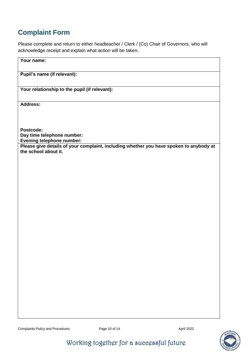#### **Complaint Form**

Please complete and return to either headteacher / Clerk / (Co) Chair of Governors, who will acknowledge receipt and explain what action will be taken.

| Your name:                                                                                                     |
|----------------------------------------------------------------------------------------------------------------|
| Pupil's name (if relevant):                                                                                    |
| Your relationship to the pupil (if relevant):                                                                  |
| Address:                                                                                                       |
| Postcode:<br>Day time telephone number:<br>Evening telephone number:                                           |
| Please give details of your complaint, including whether you have spoken to anybody at<br>the school about it. |
|                                                                                                                |
|                                                                                                                |
|                                                                                                                |
|                                                                                                                |
|                                                                                                                |
|                                                                                                                |
|                                                                                                                |
|                                                                                                                |
|                                                                                                                |
|                                                                                                                |

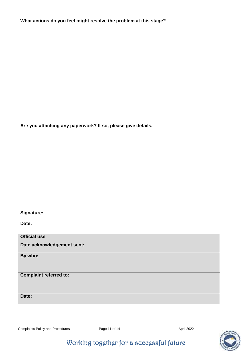| What actions do you feel might resolve the problem at this stage? |  |  |
|-------------------------------------------------------------------|--|--|
|                                                                   |  |  |
|                                                                   |  |  |
|                                                                   |  |  |
|                                                                   |  |  |
|                                                                   |  |  |
|                                                                   |  |  |
|                                                                   |  |  |
|                                                                   |  |  |
|                                                                   |  |  |
|                                                                   |  |  |
|                                                                   |  |  |
|                                                                   |  |  |
|                                                                   |  |  |
| Are you attaching any paperwork? If so, please give details.      |  |  |
|                                                                   |  |  |
|                                                                   |  |  |
|                                                                   |  |  |
|                                                                   |  |  |
|                                                                   |  |  |
|                                                                   |  |  |
|                                                                   |  |  |
|                                                                   |  |  |
|                                                                   |  |  |
|                                                                   |  |  |
|                                                                   |  |  |
| Signature:                                                        |  |  |
| Date:                                                             |  |  |
|                                                                   |  |  |
| <b>Official use</b>                                               |  |  |
| Date acknowledgement sent:                                        |  |  |
| By who:                                                           |  |  |
|                                                                   |  |  |
|                                                                   |  |  |
| <b>Complaint referred to:</b>                                     |  |  |
|                                                                   |  |  |
|                                                                   |  |  |
| Date:                                                             |  |  |
|                                                                   |  |  |

Complaints Policy and Procedures **Page 11 of 14** April 2022

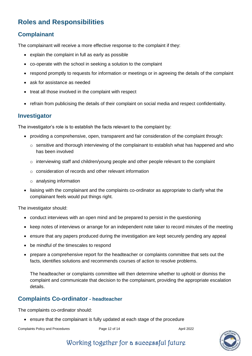## **Roles and Responsibilities**

#### **Complainant**

The complainant will receive a more effective response to the complaint if they:

- explain the complaint in full as early as possible
- co-operate with the school in seeking a solution to the complaint
- respond promptly to requests for information or meetings or in agreeing the details of the complaint
- ask for assistance as needed
- treat all those involved in the complaint with respect
- refrain from publicising the details of their complaint on social media and respect confidentiality.

#### **Investigator**

The investigator's role is to establish the facts relevant to the complaint by:

- providing a comprehensive, open, transparent and fair consideration of the complaint through:
	- o sensitive and thorough interviewing of the complainant to establish what has happened and who has been involved
	- o interviewing staff and children/young people and other people relevant to the complaint
	- o consideration of records and other relevant information
	- o analysing information
- liaising with the complainant and the complaints co-ordinator as appropriate to clarify what the complainant feels would put things right.

The investigator should:

- conduct interviews with an open mind and be prepared to persist in the questioning
- keep notes of interviews or arrange for an independent note taker to record minutes of the meeting
- ensure that any papers produced during the investigation are kept securely pending any appeal
- be mindful of the timescales to respond
- prepare a comprehensive report for the headteacher or complaints committee that sets out the facts, identifies solutions and recommends courses of action to resolve problems.

The headteacher or complaints committee will then determine whether to uphold or dismiss the complaint and communicate that decision to the complainant, providing the appropriate escalation details.

#### **Complaints Co-ordinator - headteacher**

The complaints co-ordinator should:

ensure that the complainant is fully updated at each stage of the procedure

Complaints Policy and Procedures **Page 12 of 14** April 2022

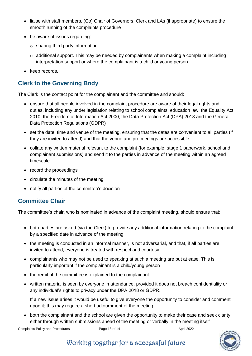- liaise with staff members, (Co) Chair of Governors, Clerk and LAs (if appropriate) to ensure the smooth running of the complaints procedure
- be aware of issues regarding:
	- $\circ$  sharing third party information
	- $\circ$  additional support. This may be needed by complainants when making a complaint including interpretation support or where the complainant is a child or young person
- keep records.

#### **Clerk to the Governing Body**

The Clerk is the contact point for the complainant and the committee and should:

- ensure that all people involved in the complaint procedure are aware of their legal rights and duties, including any under legislation relating to school complaints, education law, the Equality Act 2010, the Freedom of Information Act 2000, the Data Protection Act (DPA) 2018 and the General Data Protection Regulations (GDPR)
- set the date, time and venue of the meeting, ensuring that the dates are convenient to all parties (if they are invited to attend) and that the venue and proceedings are accessible
- collate any written material relevant to the complaint (for example; stage 1 paperwork, school and complainant submissions) and send it to the parties in advance of the meeting within an agreed timescale
- record the proceedings
- circulate the minutes of the meeting
- notify all parties of the committee's decision.

#### **Committee Chair**

The committee's chair, who is nominated in advance of the complaint meeting, should ensure that:

- both parties are asked (via the Clerk) to provide any additional information relating to the complaint by a specified date in advance of the meeting
- the meeting is conducted in an informal manner, is not adversarial, and that, if all parties are invited to attend, everyone is treated with respect and courtesy
- complainants who may not be used to speaking at such a meeting are put at ease. This is particularly important if the complainant is a child/young person
- the remit of the committee is explained to the complainant
- written material is seen by everyone in attendance, provided it does not breach confidentiality or any individual's rights to privacy under the DPA 2018 or GDPR.

If a new issue arises it would be useful to give everyone the opportunity to consider and comment upon it; this may require a short adjournment of the meeting

 both the complainant and the school are given the opportunity to make their case and seek clarity, either through written submissions ahead of the meeting or verbally in the meeting itself

```
Complaints Policy and Procedures Page 13 of 14 April 2022
```